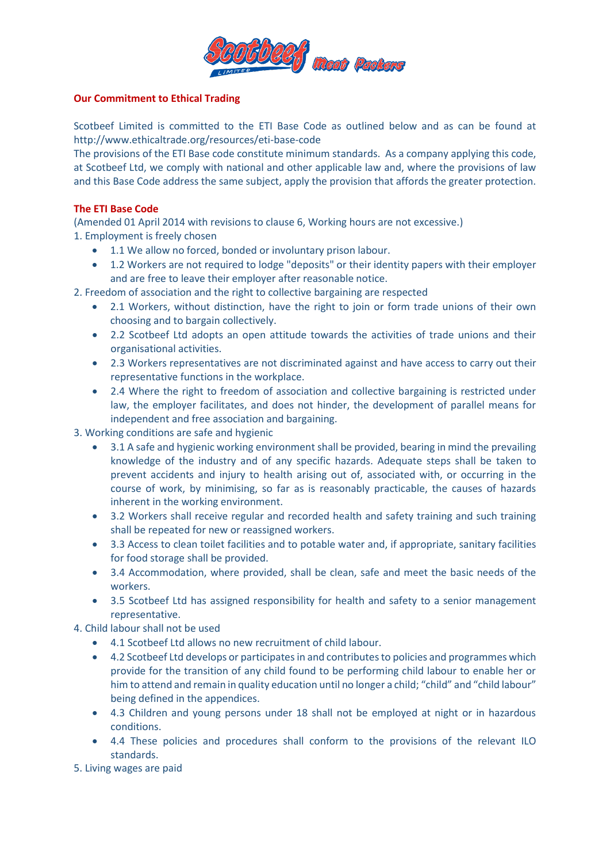

## **Our Commitment to Ethical Trading**

Scotbeef Limited is committed to the ETI Base Code as outlined below and as can be found at http://www.ethicaltrade.org/resources/eti-base-code

The provisions of the ETI Base code constitute minimum standards. As a company applying this code, at Scotbeef Ltd, we comply with national and other applicable law and, where the provisions of law and this Base Code address the same subject, apply the provision that affords the greater protection.

## **The ETI Base Code**

(Amended 01 April 2014 with revisions to clause 6, Working hours are not excessive.) 1. Employment is freely chosen

- 1.1 We allow no forced, bonded or involuntary prison labour.
- 1.2 Workers are not required to lodge "deposits" or their identity papers with their employer and are free to leave their employer after reasonable notice.

2. Freedom of association and the right to collective bargaining are respected

- 2.1 Workers, without distinction, have the right to join or form trade unions of their own choosing and to bargain collectively.
- 2.2 Scotbeef Ltd adopts an open attitude towards the activities of trade unions and their organisational activities.
- 2.3 Workers representatives are not discriminated against and have access to carry out their representative functions in the workplace.
- 2.4 Where the right to freedom of association and collective bargaining is restricted under law, the employer facilitates, and does not hinder, the development of parallel means for independent and free association and bargaining.

3. Working conditions are safe and hygienic

- 3.1 A safe and hygienic working environment shall be provided, bearing in mind the prevailing knowledge of the industry and of any specific hazards. Adequate steps shall be taken to prevent accidents and injury to health arising out of, associated with, or occurring in the course of work, by minimising, so far as is reasonably practicable, the causes of hazards inherent in the working environment.
- 3.2 Workers shall receive regular and recorded health and safety training and such training shall be repeated for new or reassigned workers.
- 3.3 Access to clean toilet facilities and to potable water and, if appropriate, sanitary facilities for food storage shall be provided.
- 3.4 Accommodation, where provided, shall be clean, safe and meet the basic needs of the workers.
- 3.5 Scotbeef Ltd has assigned responsibility for health and safety to a senior management representative.

4. Child labour shall not be used

- 4.1 Scotbeef Ltd allows no new recruitment of child labour.
- 4.2 Scotbeef Ltd develops or participates in and contributes to policies and programmes which provide for the transition of any child found to be performing child labour to enable her or him to attend and remain in quality education until no longer a child; "child" and "child labour" being defined in the appendices.
- 4.3 Children and young persons under 18 shall not be employed at night or in hazardous conditions.
- 4.4 These policies and procedures shall conform to the provisions of the relevant ILO standards.

5. Living wages are paid